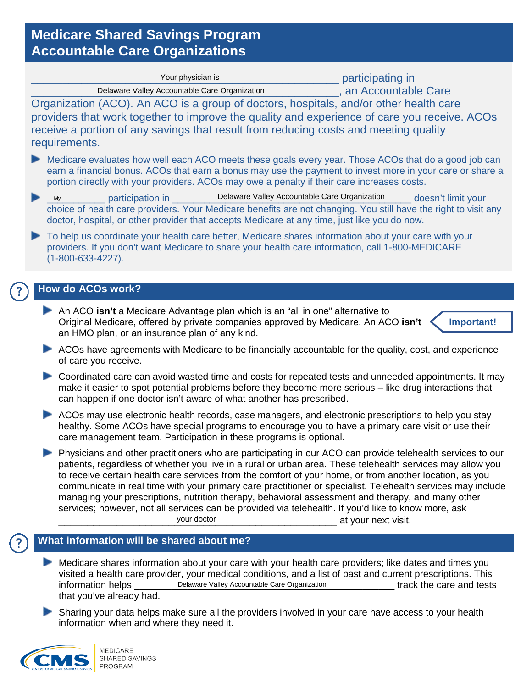# **Medicare Shared Savings Program Accountable Care Organizations**

| Your physician is                                                                                                                                                                                                                                                                                                | participating in    |
|------------------------------------------------------------------------------------------------------------------------------------------------------------------------------------------------------------------------------------------------------------------------------------------------------------------|---------------------|
| Delaware Valley Accountable Care Organization                                                                                                                                                                                                                                                                    | an Accountable Care |
| Organization (ACO). An ACO is a group of doctors, hospitals, and/or other health care<br>providers that work together to improve the quality and experience of care you receive. ACOs<br>receive a portion of any savings that result from reducing costs and meeting quality<br>requirements.                   |                     |
| Medicare evaluates how well each ACO meets these goals every year. Those ACOs that do a good job can<br>earn a financial bonus. ACOs that earn a bonus may use the payment to invest more in your care or share a<br>portion directly with your providers. ACOs may owe a penalty if their care increases costs. |                     |

- My exactricipation in Delaware Valley Accountable Care Organization doesn't limit your choice of health care providers. Your Medicare benefits are not changing. You still have the right to visit any doctor, hospital, or other provider that accepts Medicare at any time, just like you do now.
- To help us coordinate your health care better, Medicare shares information about your care with your providers. If you don't want Medicare to share your health care information, call 1-800-MEDICARE (1-800-633-4227).

## **How do ACOs work?**

**An ACO isn't** a Medicare Advantage plan which is an "all in one" alternative to Original Medicare, offered by private companies approved by Medicare. An ACO **isn't** an HMO plan, or an insurance plan of any kind.



- ACOs have agreements with Medicare to be financially accountable for the quality, cost, and experience of care you receive.
- Coordinated care can avoid wasted time and costs for repeated tests and unneeded appointments. It may make it easier to spot potential problems before they become more serious – like drug interactions that can happen if one doctor isn't aware of what another has prescribed.
- ACOs may use electronic health records, case managers, and electronic prescriptions to help you stay healthy. Some ACOs have special programs to encourage you to have a primary care visit or use their care management team. Participation in these programs is optional.
- **Physicians and other practitioners who are participating in our ACO can provide telehealth services to our** patients, regardless of whether you live in a rural or urban area. These telehealth services may allow you to receive certain health care services from the comfort of your home, or from another location, as you communicate in real time with your primary care practitioner or specialist. Telehealth services may include managing your prescriptions, nutrition therapy, behavioral assessment and therapy, and many other services; however, not all services can be provided via telehealth. If you'd like to know more, ask your doctor and a set of the set of the set of the set of the set of the set of the set of the set of the set o by<br>
weigning the measure of health care providers. Your Medicare benefits are not changing. You society, hospital, or other provider that accepts Medicare at any time, just like you onlelp us coordinate your health care b

## **What information will be shared about me?**

- Medicare shares information about your care with your health care providers; like dates and times you visited a health care provider, your medical conditions, and a list of past and current prescriptions. This information helps \_\_\_\_\_\_\_\_\_\_\_\_Delaware Valley Accountable Care Organization \_\_\_\_\_\_\_\_\_\_\_\_\_\_\_\_\_\_track the care and tests that you've already had.
- Sharing your data helps make sure all the providers involved in your care have access to your health information when and where they need it.